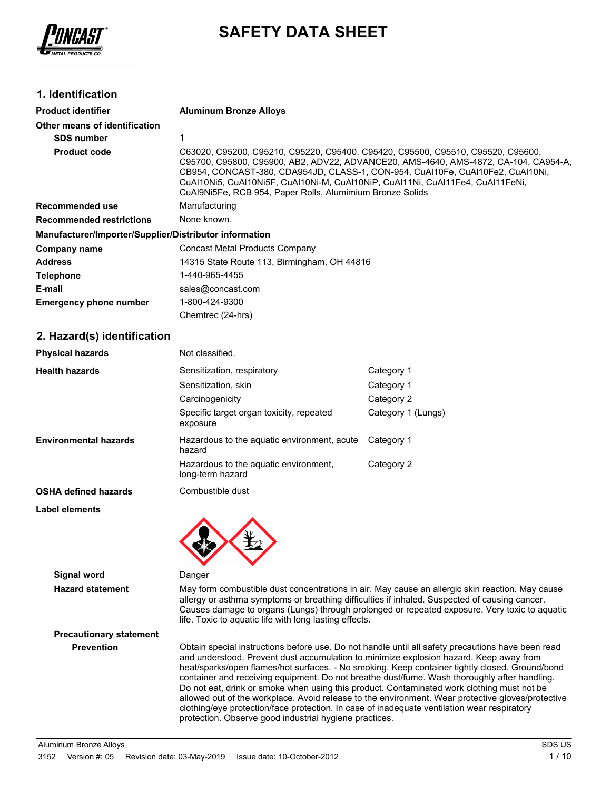

# **SAFETY DATA SHEET**

### **1. Identification**

| <b>Product identifier</b>                              | <b>Aluminum Bronze Alloys</b>                                                                                                                                                                                                                                                                                                                                                                           |                    |
|--------------------------------------------------------|---------------------------------------------------------------------------------------------------------------------------------------------------------------------------------------------------------------------------------------------------------------------------------------------------------------------------------------------------------------------------------------------------------|--------------------|
| Other means of identification                          |                                                                                                                                                                                                                                                                                                                                                                                                         |                    |
| <b>SDS number</b>                                      | 1                                                                                                                                                                                                                                                                                                                                                                                                       |                    |
| <b>Product code</b>                                    | C63020, C95200, C95210, C95220, C95400, C95420, C95500, C95510, C95520, C95600,<br>C95700, C95800, C95900, AB2, ADV22, ADVANCE20, AMS-4640, AMS-4872, CA-104, CA954-A,<br>CB954, CONCAST-380, CDA954JD, CLASS-1, CON-954, CuAl10Fe, CuAl10Fe2, CuAl10Ni,<br>CuAI10Ni5, CuAI10Ni5F, CuAI10Ni-M, CuAI10NiP, CuAI11Ni, CuAI11Fe4, CuAI11FeNi,<br>CuAl9Ni5Fe, RCB 954, Paper Rolls, Alumimium Bronze Solids |                    |
| <b>Recommended use</b>                                 | Manufacturing                                                                                                                                                                                                                                                                                                                                                                                           |                    |
| <b>Recommended restrictions</b>                        | None known.                                                                                                                                                                                                                                                                                                                                                                                             |                    |
| Manufacturer/Importer/Supplier/Distributor information |                                                                                                                                                                                                                                                                                                                                                                                                         |                    |
| <b>Company name</b>                                    | <b>Concast Metal Products Company</b>                                                                                                                                                                                                                                                                                                                                                                   |                    |
| <b>Address</b>                                         | 14315 State Route 113, Birmingham, OH 44816                                                                                                                                                                                                                                                                                                                                                             |                    |
| <b>Telephone</b>                                       | 1-440-965-4455                                                                                                                                                                                                                                                                                                                                                                                          |                    |
| E-mail                                                 | sales@concast.com                                                                                                                                                                                                                                                                                                                                                                                       |                    |
| <b>Emergency phone number</b>                          | 1-800-424-9300                                                                                                                                                                                                                                                                                                                                                                                          |                    |
|                                                        | Chemtrec (24-hrs)                                                                                                                                                                                                                                                                                                                                                                                       |                    |
| 2. Hazard(s) identification                            |                                                                                                                                                                                                                                                                                                                                                                                                         |                    |
| <b>Physical hazards</b>                                | Not classified.                                                                                                                                                                                                                                                                                                                                                                                         |                    |
| <b>Health hazards</b>                                  | Sensitization, respiratory                                                                                                                                                                                                                                                                                                                                                                              | Category 1         |
|                                                        | Sensitization, skin                                                                                                                                                                                                                                                                                                                                                                                     | Category 1         |
|                                                        | Carcinogenicity                                                                                                                                                                                                                                                                                                                                                                                         | Category 2         |
|                                                        | Specific target organ toxicity, repeated<br>exposure                                                                                                                                                                                                                                                                                                                                                    | Category 1 (Lungs) |
| <b>Environmental hazards</b>                           | Hazardous to the aquatic environment, acute<br>hazard                                                                                                                                                                                                                                                                                                                                                   | Category 1         |
|                                                        | Hazardous to the aquatic environment,<br>long-term hazard                                                                                                                                                                                                                                                                                                                                               | Category 2         |
| <b>OSHA defined hazards</b>                            | Combustible dust                                                                                                                                                                                                                                                                                                                                                                                        |                    |
| Label elements                                         |                                                                                                                                                                                                                                                                                                                                                                                                         |                    |
|                                                        |                                                                                                                                                                                                                                                                                                                                                                                                         |                    |
| <b>Signal word</b>                                     | Danger                                                                                                                                                                                                                                                                                                                                                                                                  |                    |
| <b>Hazard statement</b>                                | May form combustible dust concentrations in air. May cause an allergic skin reaction. May cause<br>allergy or asthma symptoms or breathing difficulties if inhaled. Suspected of causing cancer.<br>Causes damage to organs (Lungs) through prolonged or repeated exposure. Very toxic to aquatic<br>life. Toxic to aquatic life with long lasting effects.                                             |                    |
| <b>Precautionary statement</b>                         |                                                                                                                                                                                                                                                                                                                                                                                                         |                    |
| <b>Prevention</b>                                      | Obtain special instructions before use. Do not handle until all safety precautions have been read<br>and understood. Prevent dust accumulation to minimize explosion hazard. Keep away from<br>heat/sparks/open flames/hot surfaces. - No smoking. Keep container tightly closed. Ground/bond<br>container and receiving equipment. Do not breathe dust/fume. Wash thoroughly after handling.           |                    |

Do not eat, drink or smoke when using this product. Contaminated work clothing must not be allowed out of the workplace. Avoid release to the environment. Wear protective gloves/protective

clothing/eye protection/face protection. In case of inadequate ventilation wear respiratory

protection. Observe good industrial hygiene practices.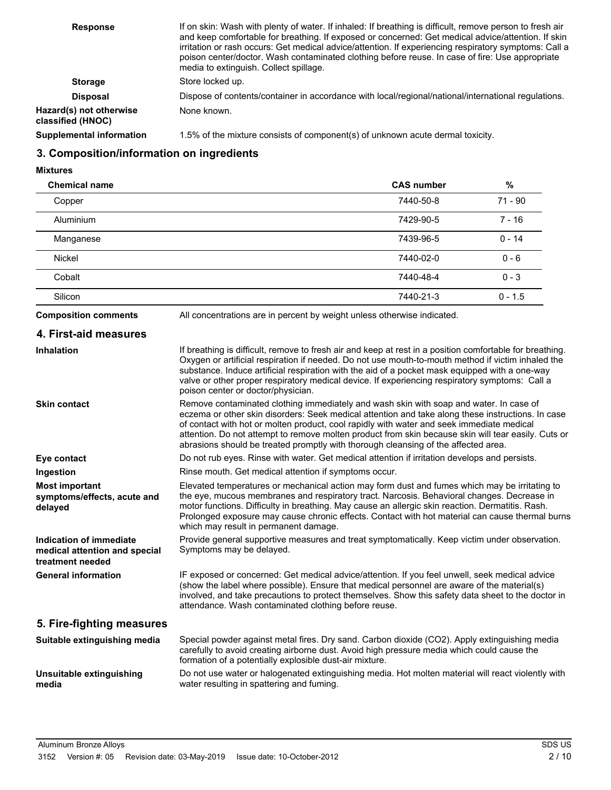| <b>Response</b>                              | If on skin: Wash with plenty of water. If inhaled: If breathing is difficult, remove person to fresh air<br>and keep comfortable for breathing. If exposed or concerned: Get medical advice/attention. If skin<br>irritation or rash occurs: Get medical advice/attention. If experiencing respiratory symptoms: Call a<br>poison center/doctor. Wash contaminated clothing before reuse. In case of fire: Use appropriate<br>media to extinguish. Collect spillage. |
|----------------------------------------------|----------------------------------------------------------------------------------------------------------------------------------------------------------------------------------------------------------------------------------------------------------------------------------------------------------------------------------------------------------------------------------------------------------------------------------------------------------------------|
| <b>Storage</b>                               | Store locked up.                                                                                                                                                                                                                                                                                                                                                                                                                                                     |
| <b>Disposal</b>                              | Dispose of contents/container in accordance with local/regional/national/international regulations.                                                                                                                                                                                                                                                                                                                                                                  |
| Hazard(s) not otherwise<br>classified (HNOC) | None known.                                                                                                                                                                                                                                                                                                                                                                                                                                                          |
| <b>Supplemental information</b>              | 1.5% of the mixture consists of component(s) of unknown acute dermal toxicity.                                                                                                                                                                                                                                                                                                                                                                                       |

### **3. Composition/information on ingredients**

#### **Mixtures**

| <b>Chemical name</b> | <b>CAS number</b> | %         |
|----------------------|-------------------|-----------|
| Copper               | 7440-50-8         | $71 - 90$ |
| <b>Aluminium</b>     | 7429-90-5         | $7 - 16$  |
| Manganese            | 7439-96-5         | $0 - 14$  |
| <b>Nickel</b>        | 7440-02-0         | $0 - 6$   |
| Cobalt               | 7440-48-4         | $0 - 3$   |
| Silicon              | 7440-21-3         | $0 - 1.5$ |

**Composition comments** All concentrations are in percent by weight unless otherwise indicated.

| 4. First-aid measures |  |
|-----------------------|--|
|-----------------------|--|

| Inhalation                                                                   | If breathing is difficult, remove to fresh air and keep at rest in a position comfortable for breathing.<br>Oxygen or artificial respiration if needed. Do not use mouth-to-mouth method if victim inhaled the<br>substance. Induce artificial respiration with the aid of a pocket mask equipped with a one-way<br>valve or other proper respiratory medical device. If experiencing respiratory symptoms: Call a<br>poison center or doctor/physician.                              |
|------------------------------------------------------------------------------|---------------------------------------------------------------------------------------------------------------------------------------------------------------------------------------------------------------------------------------------------------------------------------------------------------------------------------------------------------------------------------------------------------------------------------------------------------------------------------------|
| <b>Skin contact</b>                                                          | Remove contaminated clothing immediately and wash skin with soap and water. In case of<br>eczema or other skin disorders: Seek medical attention and take along these instructions. In case<br>of contact with hot or molten product, cool rapidly with water and seek immediate medical<br>attention. Do not attempt to remove molten product from skin because skin will tear easily. Cuts or<br>abrasions should be treated promptly with thorough cleansing of the affected area. |
| Eye contact                                                                  | Do not rub eyes. Rinse with water. Get medical attention if irritation develops and persists.                                                                                                                                                                                                                                                                                                                                                                                         |
| Ingestion                                                                    | Rinse mouth. Get medical attention if symptoms occur.                                                                                                                                                                                                                                                                                                                                                                                                                                 |
| <b>Most important</b><br>symptoms/effects, acute and<br>delayed              | Elevated temperatures or mechanical action may form dust and fumes which may be irritating to<br>the eye, mucous membranes and respiratory tract. Narcosis. Behavioral changes. Decrease in<br>motor functions. Difficulty in breathing. May cause an allergic skin reaction. Dermatitis. Rash.<br>Prolonged exposure may cause chronic effects. Contact with hot material can cause thermal burns<br>which may result in permanent damage.                                           |
| Indication of immediate<br>medical attention and special<br>treatment needed | Provide general supportive measures and treat symptomatically. Keep victim under observation.<br>Symptoms may be delayed.                                                                                                                                                                                                                                                                                                                                                             |
| <b>General information</b>                                                   | IF exposed or concerned: Get medical advice/attention. If you feel unwell, seek medical advice<br>(show the label where possible). Ensure that medical personnel are aware of the material(s)<br>involved, and take precautions to protect themselves. Show this safety data sheet to the doctor in<br>attendance. Wash contaminated clothing before reuse.                                                                                                                           |
| 5. Fire-fighting measures                                                    |                                                                                                                                                                                                                                                                                                                                                                                                                                                                                       |
| Suitable extinguishing media                                                 | Special powder against metal fires. Dry sand. Carbon dioxide (CO2). Apply extinguishing media<br>carefully to avoid creating airborne dust. Avoid high pressure media which could cause the<br>formation of a potentially explosible dust-air mixture.                                                                                                                                                                                                                                |
| Unsuitable extinguishing<br>media                                            | Do not use water or halogenated extinguishing media. Hot molten material will react violently with<br>water resulting in spattering and fuming.                                                                                                                                                                                                                                                                                                                                       |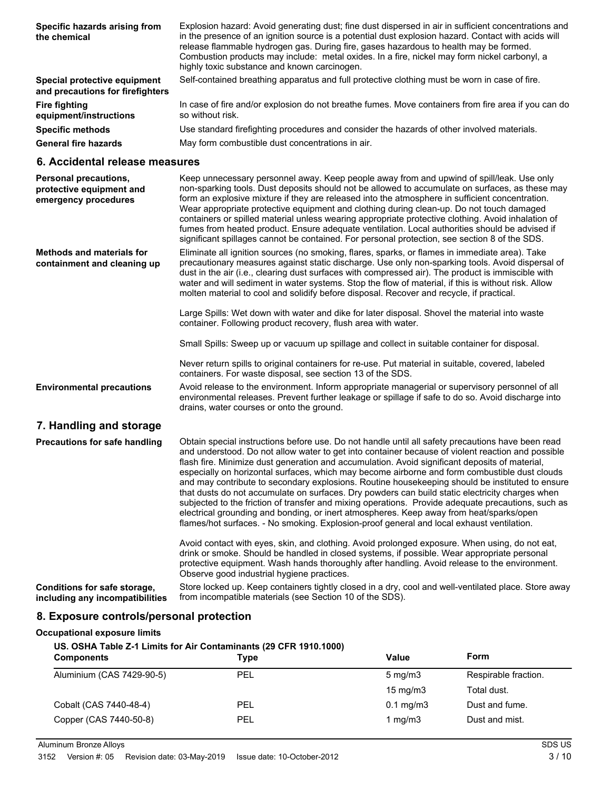| Specific hazards arising from<br>the chemical                    | Explosion hazard: Avoid generating dust; fine dust dispersed in air in sufficient concentrations and<br>in the presence of an ignition source is a potential dust explosion hazard. Contact with acids will<br>release flammable hydrogen gas. During fire, gases hazardous to health may be formed.<br>Combustion products may include: metal oxides. In a fire, nickel may form nickel carbonyl, a<br>highly toxic substance and known carcinogen. |
|------------------------------------------------------------------|------------------------------------------------------------------------------------------------------------------------------------------------------------------------------------------------------------------------------------------------------------------------------------------------------------------------------------------------------------------------------------------------------------------------------------------------------|
| Special protective equipment<br>and precautions for firefighters | Self-contained breathing apparatus and full protective clothing must be worn in case of fire.                                                                                                                                                                                                                                                                                                                                                        |
| Fire fighting<br>equipment/instructions                          | In case of fire and/or explosion do not breathe fumes. Move containers from fire area if you can do<br>so without risk.                                                                                                                                                                                                                                                                                                                              |
| <b>Specific methods</b>                                          | Use standard firefighting procedures and consider the hazards of other involved materials.                                                                                                                                                                                                                                                                                                                                                           |
| <b>General fire hazards</b>                                      | May form combustible dust concentrations in air.                                                                                                                                                                                                                                                                                                                                                                                                     |

### **6. Accidental release measures**

| Personal precautions,<br>protective equipment and<br>emergency procedures | Keep unnecessary personnel away. Keep people away from and upwind of spill/leak. Use only<br>non-sparking tools. Dust deposits should not be allowed to accumulate on surfaces, as these may<br>form an explosive mixture if they are released into the atmosphere in sufficient concentration.<br>Wear appropriate protective equipment and clothing during clean-up. Do not touch damaged<br>containers or spilled material unless wearing appropriate protective clothing. Avoid inhalation of<br>fumes from heated product. Ensure adequate ventilation. Local authorities should be advised if<br>significant spillages cannot be contained. For personal protection, see section 8 of the SDS.                                                                                                                                                                                                          |
|---------------------------------------------------------------------------|---------------------------------------------------------------------------------------------------------------------------------------------------------------------------------------------------------------------------------------------------------------------------------------------------------------------------------------------------------------------------------------------------------------------------------------------------------------------------------------------------------------------------------------------------------------------------------------------------------------------------------------------------------------------------------------------------------------------------------------------------------------------------------------------------------------------------------------------------------------------------------------------------------------|
| <b>Methods and materials for</b><br>containment and cleaning up           | Eliminate all ignition sources (no smoking, flares, sparks, or flames in immediate area). Take<br>precautionary measures against static discharge. Use only non-sparking tools. Avoid dispersal of<br>dust in the air (i.e., clearing dust surfaces with compressed air). The product is immiscible with<br>water and will sediment in water systems. Stop the flow of material, if this is without risk. Allow<br>molten material to cool and solidify before disposal. Recover and recycle, if practical.                                                                                                                                                                                                                                                                                                                                                                                                   |
|                                                                           | Large Spills: Wet down with water and dike for later disposal. Shovel the material into waste<br>container. Following product recovery, flush area with water.                                                                                                                                                                                                                                                                                                                                                                                                                                                                                                                                                                                                                                                                                                                                                |
|                                                                           | Small Spills: Sweep up or vacuum up spillage and collect in suitable container for disposal.                                                                                                                                                                                                                                                                                                                                                                                                                                                                                                                                                                                                                                                                                                                                                                                                                  |
|                                                                           | Never return spills to original containers for re-use. Put material in suitable, covered, labeled<br>containers. For waste disposal, see section 13 of the SDS.                                                                                                                                                                                                                                                                                                                                                                                                                                                                                                                                                                                                                                                                                                                                               |
| <b>Environmental precautions</b>                                          | Avoid release to the environment. Inform appropriate managerial or supervisory personnel of all<br>environmental releases. Prevent further leakage or spillage if safe to do so. Avoid discharge into<br>drains, water courses or onto the ground.                                                                                                                                                                                                                                                                                                                                                                                                                                                                                                                                                                                                                                                            |
| 7. Handling and storage                                                   |                                                                                                                                                                                                                                                                                                                                                                                                                                                                                                                                                                                                                                                                                                                                                                                                                                                                                                               |
| <b>Precautions for safe handling</b>                                      | Obtain special instructions before use. Do not handle until all safety precautions have been read<br>and understood. Do not allow water to get into container because of violent reaction and possible<br>flash fire. Minimize dust generation and accumulation. Avoid significant deposits of material,<br>especially on horizontal surfaces, which may become airborne and form combustible dust clouds<br>and may contribute to secondary explosions. Routine housekeeping should be instituted to ensure<br>that dusts do not accumulate on surfaces. Dry powders can build static electricity charges when<br>subjected to the friction of transfer and mixing operations. Provide adequate precautions, such as<br>electrical grounding and bonding, or inert atmospheres. Keep away from heat/sparks/open<br>flames/hot surfaces. - No smoking. Explosion-proof general and local exhaust ventilation. |
|                                                                           | Avoid contact with eyes, skin, and clothing. Avoid prolonged exposure. When using, do not eat,<br>drink or smoke. Should be handled in closed systems, if possible. Wear appropriate personal<br>protective equipment. Wash hands thoroughly after handling. Avoid release to the environment.<br>Observe good industrial hygiene practices.                                                                                                                                                                                                                                                                                                                                                                                                                                                                                                                                                                  |
| Conditions for safe storage,<br>including any incompatibilities           | Store locked up. Keep containers tightly closed in a dry, cool and well-ventilated place. Store away<br>from incompatible materials (see Section 10 of the SDS).                                                                                                                                                                                                                                                                                                                                                                                                                                                                                                                                                                                                                                                                                                                                              |

### **8. Exposure controls/personal protection**

# **Occupational exposure limits US. OSHA Table Z-1 Limits for Air Contaminants (29 CFR 1910.1000) Components Components Components Components Components Form** Aluminium (CAS 7429-90-5) PEL PEL 5 mg/m3 Respirable fraction. 15 mg/m3 Total dust. Cobalt (CAS 7440-48-4) PEL PEL 0.1 mg/m3 Dust and fume. Copper (CAS 7440-50-8) PEL 1 mg/m3 Dust and mist.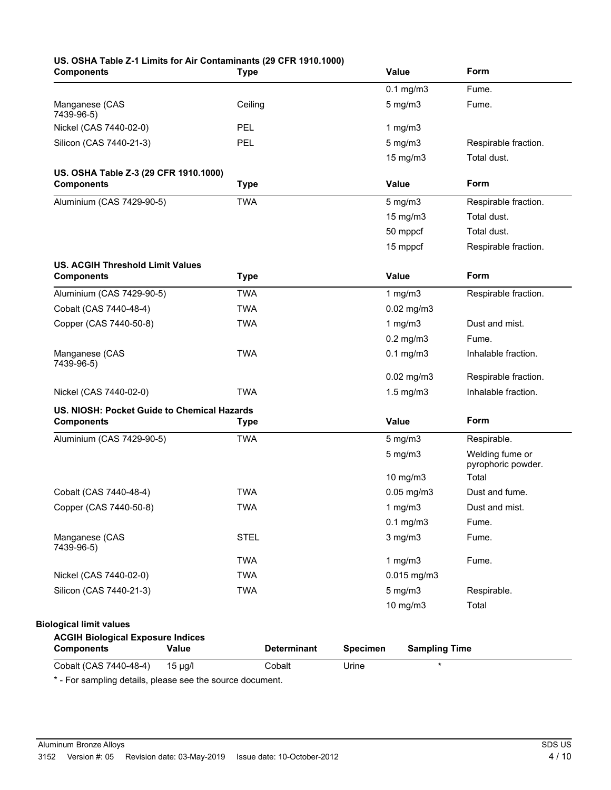| <b>Components</b>                           | <b>Type</b>        | Value                                   | Form                                  |
|---------------------------------------------|--------------------|-----------------------------------------|---------------------------------------|
|                                             |                    | $0.1$ mg/m $3$                          | Fume.                                 |
| Manganese (CAS<br>7439-96-5)                | Ceiling            | $5$ mg/m $3$                            | Fume.                                 |
| Nickel (CAS 7440-02-0)                      | PEL                | 1 $mg/m3$                               |                                       |
| Silicon (CAS 7440-21-3)                     | PEL                | $5$ mg/m $3$                            | Respirable fraction.                  |
|                                             |                    | 15 mg/m3                                | Total dust.                           |
| US. OSHA Table Z-3 (29 CFR 1910.1000)       |                    |                                         |                                       |
| <b>Components</b>                           | <b>Type</b>        | Value                                   | Form                                  |
| Aluminium (CAS 7429-90-5)                   | <b>TWA</b>         | $5$ mg/m $3$                            | Respirable fraction.                  |
|                                             |                    | 15 mg/m3                                | Total dust.                           |
|                                             |                    | 50 mppcf                                | Total dust.                           |
|                                             |                    | 15 mppcf                                | Respirable fraction.                  |
| <b>US. ACGIH Threshold Limit Values</b>     |                    |                                         |                                       |
| <b>Components</b>                           | <b>Type</b>        | Value                                   | Form                                  |
| Aluminium (CAS 7429-90-5)                   | <b>TWA</b>         | 1 $mg/m3$                               | Respirable fraction.                  |
| Cobalt (CAS 7440-48-4)                      | <b>TWA</b>         | $0.02$ mg/m $3$                         |                                       |
| Copper (CAS 7440-50-8)                      | <b>TWA</b>         | 1 $mg/m3$                               | Dust and mist.                        |
|                                             |                    | $0.2$ mg/m $3$                          | Fume.                                 |
| Manganese (CAS<br>7439-96-5)                | <b>TWA</b>         | $0.1$ mg/m $3$                          | Inhalable fraction.                   |
|                                             |                    | $0.02$ mg/m3                            | Respirable fraction.                  |
| Nickel (CAS 7440-02-0)                      | <b>TWA</b>         | $1.5$ mg/m $3$                          | Inhalable fraction.                   |
| US. NIOSH: Pocket Guide to Chemical Hazards |                    |                                         |                                       |
| <b>Components</b>                           | <b>Type</b>        | <b>Value</b>                            | Form                                  |
| Aluminium (CAS 7429-90-5)                   | <b>TWA</b>         | $5$ mg/m $3$                            | Respirable.                           |
|                                             |                    | $5$ mg/m $3$                            | Welding fume or<br>pyrophoric powder. |
|                                             |                    | 10 mg/m3                                | Total                                 |
| Cobalt (CAS 7440-48-4)                      | <b>TWA</b>         | $0.05$ mg/m $3$                         | Dust and fume.                        |
| Copper (CAS 7440-50-8)                      | <b>TWA</b>         | 1 $mg/m3$                               | Dust and mist.                        |
|                                             |                    | $0.1$ mg/m $3$                          | Fume.                                 |
| Manganese (CAS<br>7439-96-5)                | <b>STEL</b>        | $3$ mg/m $3$                            | Fume.                                 |
|                                             | <b>TWA</b>         | 1 $mg/m3$                               | Fume.                                 |
| Nickel (CAS 7440-02-0)                      | <b>TWA</b>         | 0.015 mg/m3                             |                                       |
| Silicon (CAS 7440-21-3)                     | <b>TWA</b>         | $5$ mg/m $3$                            | Respirable.                           |
|                                             |                    | 10 mg/m3                                | Total                                 |
| <b>Biological limit values</b>              |                    |                                         |                                       |
| <b>ACGIH Biological Exposure Indices</b>    |                    |                                         |                                       |
| <b>Components</b><br>Value                  | <b>Determinant</b> | <b>Specimen</b><br><b>Sampling Time</b> |                                       |

\* - For sampling details, please see the source document.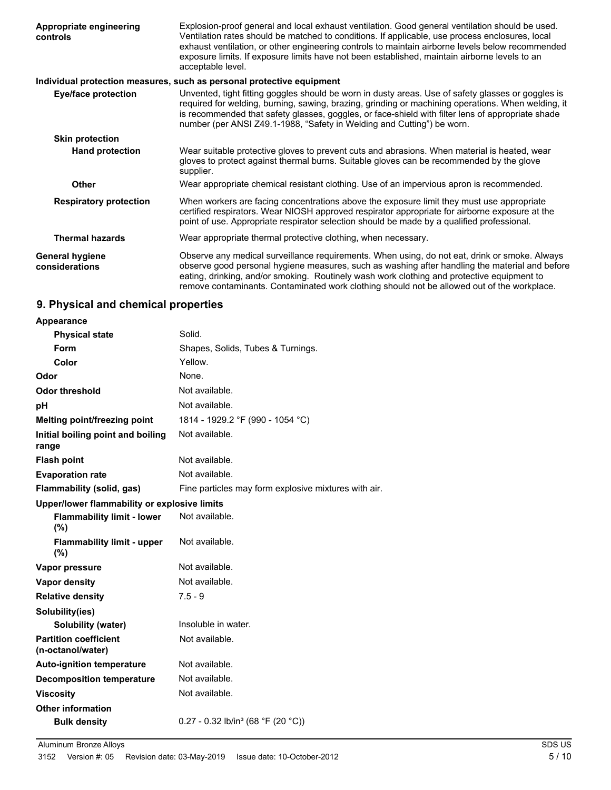| Appropriate engineering<br>controls      | Explosion-proof general and local exhaust ventilation. Good general ventilation should be used.<br>Ventilation rates should be matched to conditions. If applicable, use process enclosures, local<br>exhaust ventilation, or other engineering controls to maintain airborne levels below recommended<br>exposure limits. If exposure limits have not been established, maintain airborne levels to an<br>acceptable level. |
|------------------------------------------|------------------------------------------------------------------------------------------------------------------------------------------------------------------------------------------------------------------------------------------------------------------------------------------------------------------------------------------------------------------------------------------------------------------------------|
|                                          | Individual protection measures, such as personal protective equipment                                                                                                                                                                                                                                                                                                                                                        |
| <b>Eye/face protection</b>               | Unvented, tight fitting goggles should be worn in dusty areas. Use of safety glasses or goggles is<br>required for welding, burning, sawing, brazing, grinding or machining operations. When welding, it<br>is recommended that safety glasses, goggles, or face-shield with filter lens of appropriate shade<br>number (per ANSI Z49.1-1988, "Safety in Welding and Cutting") be worn.                                      |
| <b>Skin protection</b>                   |                                                                                                                                                                                                                                                                                                                                                                                                                              |
| <b>Hand protection</b>                   | Wear suitable protective gloves to prevent cuts and abrasions. When material is heated, wear<br>gloves to protect against thermal burns. Suitable gloves can be recommended by the glove<br>supplier.                                                                                                                                                                                                                        |
| <b>Other</b>                             | Wear appropriate chemical resistant clothing. Use of an impervious apron is recommended.                                                                                                                                                                                                                                                                                                                                     |
| <b>Respiratory protection</b>            | When workers are facing concentrations above the exposure limit they must use appropriate<br>certified respirators. Wear NIOSH approved respirator appropriate for airborne exposure at the<br>point of use. Appropriate respirator selection should be made by a qualified professional.                                                                                                                                    |
| <b>Thermal hazards</b>                   | Wear appropriate thermal protective clothing, when necessary.                                                                                                                                                                                                                                                                                                                                                                |
| <b>General hygiene</b><br>considerations | Observe any medical surveillance requirements. When using, do not eat, drink or smoke. Always<br>observe good personal hygiene measures, such as washing after handling the material and before<br>eating, drinking, and/or smoking. Routinely wash work clothing and protective equipment to<br>remove contaminants. Contaminated work clothing should not be allowed out of the workplace.                                 |

# **9. Physical and chemical properties**

| <b>Appearance</b>                                 |                                                      |
|---------------------------------------------------|------------------------------------------------------|
| <b>Physical state</b>                             | Solid.                                               |
| Form                                              | Shapes, Solids, Tubes & Turnings.                    |
| Color                                             | Yellow.                                              |
| Odor                                              | None.                                                |
| Odor threshold                                    | Not available.                                       |
| рH                                                | Not available.                                       |
| Melting point/freezing point                      | 1814 - 1929.2 °F (990 - 1054 °C)                     |
| Initial boiling point and boiling<br>range        | Not available.                                       |
| <b>Flash point</b>                                | Not available.                                       |
| <b>Evaporation rate</b>                           | Not available.                                       |
| Flammability (solid, gas)                         | Fine particles may form explosive mixtures with air. |
| Upper/lower flammability or explosive limits      |                                                      |
| <b>Flammability limit - lower</b><br>(%)          | Not available.                                       |
| <b>Flammability limit - upper</b><br>$(\%)$       | Not available.                                       |
| Vapor pressure                                    | Not available.                                       |
| <b>Vapor density</b>                              | Not available.                                       |
| <b>Relative density</b>                           | $7.5 - 9$                                            |
| Solubility(ies)                                   |                                                      |
| <b>Solubility (water)</b>                         | Insoluble in water.                                  |
| <b>Partition coefficient</b><br>(n-octanol/water) | Not available.                                       |
| <b>Auto-ignition temperature</b>                  | Not available.                                       |
| <b>Decomposition temperature</b>                  | Not available.                                       |
| <b>Viscosity</b>                                  | Not available.                                       |
| <b>Other information</b>                          |                                                      |
| <b>Bulk density</b>                               | $0.27 - 0.32$ lb/in <sup>3</sup> (68 °F (20 °C))     |
|                                                   |                                                      |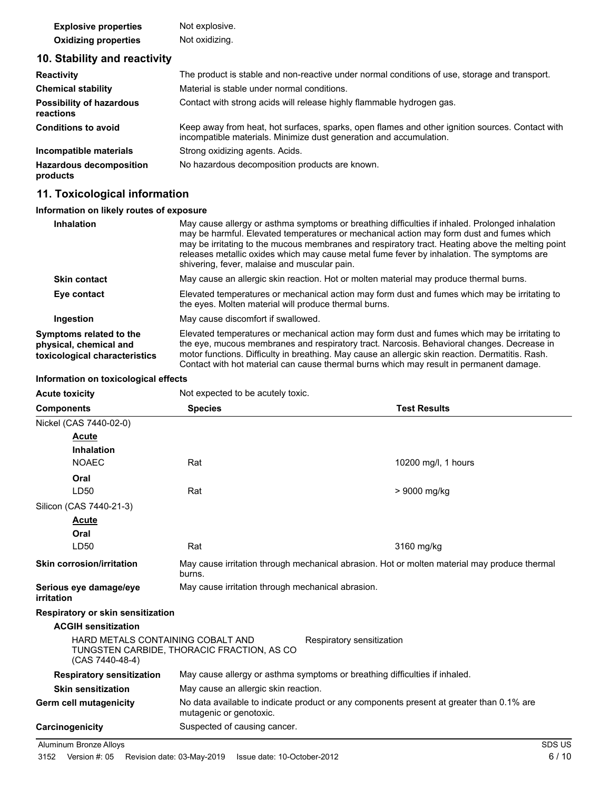| <b>Explosive properties</b> | Not explosive. |
|-----------------------------|----------------|
| <b>Oxidizing properties</b> | Not oxidizing. |

# **10. Stability and reactivity**

| <b>Reactivity</b>                            | The product is stable and non-reactive under normal conditions of use, storage and transport.                                                                         |
|----------------------------------------------|-----------------------------------------------------------------------------------------------------------------------------------------------------------------------|
| <b>Chemical stability</b>                    | Material is stable under normal conditions.                                                                                                                           |
| <b>Possibility of hazardous</b><br>reactions | Contact with strong acids will release highly flammable hydrogen gas.                                                                                                 |
| <b>Conditions to avoid</b>                   | Keep away from heat, hot surfaces, sparks, open flames and other ignition sources. Contact with<br>incompatible materials. Minimize dust generation and accumulation. |
| Incompatible materials                       | Strong oxidizing agents. Acids.                                                                                                                                       |
| <b>Hazardous decomposition</b><br>products   | No hazardous decomposition products are known.                                                                                                                        |

# **11. Toxicological information**

### **Information on likely routes of exposure**

| May cause allergy or asthma symptoms or breathing difficulties if inhaled. Prolonged inhalation<br>may be harmful. Elevated temperatures or mechanical action may form dust and fumes which<br>may be irritating to the mucous membranes and respiratory tract. Heating above the melting point<br>releases metallic oxides which may cause metal fume fever by inhalation. The symptoms are<br>shivering, fever, malaise and muscular pain. |
|----------------------------------------------------------------------------------------------------------------------------------------------------------------------------------------------------------------------------------------------------------------------------------------------------------------------------------------------------------------------------------------------------------------------------------------------|
| May cause an allergic skin reaction. Hot or molten material may produce thermal burns.                                                                                                                                                                                                                                                                                                                                                       |
| Elevated temperatures or mechanical action may form dust and fumes which may be irritating to<br>the eyes. Molten material will produce thermal burns.                                                                                                                                                                                                                                                                                       |
| May cause discomfort if swallowed.                                                                                                                                                                                                                                                                                                                                                                                                           |
| Elevated temperatures or mechanical action may form dust and fumes which may be irritating to<br>the eye, mucous membranes and respiratory tract. Narcosis. Behavioral changes. Decrease in<br>motor functions. Difficulty in breathing. May cause an allergic skin reaction. Dermatitis. Rash.<br>Contact with hot material can cause thermal burns which may result in permanent damage.                                                   |
|                                                                                                                                                                                                                                                                                                                                                                                                                                              |

### **Information on toxicological effects**

| <b>Acute toxicity</b> | Not expected to be acutely toxic. |
|-----------------------|-----------------------------------|

| <b>Components</b>                                    | <b>Species</b>                                                                                                      | <b>Test Results</b> |  |
|------------------------------------------------------|---------------------------------------------------------------------------------------------------------------------|---------------------|--|
| Nickel (CAS 7440-02-0)                               |                                                                                                                     |                     |  |
| Acute                                                |                                                                                                                     |                     |  |
| <b>Inhalation</b>                                    |                                                                                                                     |                     |  |
| <b>NOAEC</b>                                         | Rat                                                                                                                 | 10200 mg/l, 1 hours |  |
| Oral                                                 |                                                                                                                     |                     |  |
| LD50                                                 | Rat                                                                                                                 | > 9000 mg/kg        |  |
| Silicon (CAS 7440-21-3)                              |                                                                                                                     |                     |  |
| <u>Acute</u>                                         |                                                                                                                     |                     |  |
| Oral                                                 |                                                                                                                     |                     |  |
| LD50                                                 | Rat                                                                                                                 | 3160 mg/kg          |  |
| <b>Skin corrosion/irritation</b>                     | May cause irritation through mechanical abrasion. Hot or molten material may produce thermal<br>burns.              |                     |  |
| Serious eye damage/eye<br>irritation                 | May cause irritation through mechanical abrasion.                                                                   |                     |  |
| Respiratory or skin sensitization                    |                                                                                                                     |                     |  |
| <b>ACGIH sensitization</b>                           |                                                                                                                     |                     |  |
| HARD METALS CONTAINING COBALT AND<br>(CAS 7440-48-4) | Respiratory sensitization<br>TUNGSTEN CARBIDE, THORACIC FRACTION, AS CO                                             |                     |  |
| <b>Respiratory sensitization</b>                     | May cause allergy or asthma symptoms or breathing difficulties if inhaled.                                          |                     |  |
| <b>Skin sensitization</b>                            | May cause an allergic skin reaction.                                                                                |                     |  |
| Germ cell mutagenicity                               | No data available to indicate product or any components present at greater than 0.1% are<br>mutagenic or genotoxic. |                     |  |
| Carcinogenicity                                      | Suspected of causing cancer.                                                                                        |                     |  |

Aluminum Bronze Alloys SDS US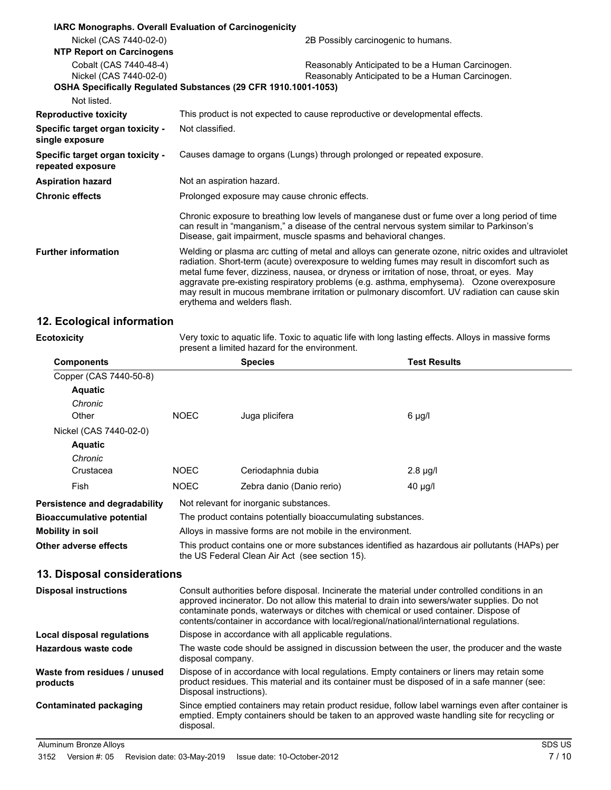|                                                       | IARC Monographs. Overall Evaluation of Carcinogenicity                                                                                                                                                                                                                                                                                                                                                                                                                                                                         |  |
|-------------------------------------------------------|--------------------------------------------------------------------------------------------------------------------------------------------------------------------------------------------------------------------------------------------------------------------------------------------------------------------------------------------------------------------------------------------------------------------------------------------------------------------------------------------------------------------------------|--|
| Nickel (CAS 7440-02-0)                                | 2B Possibly carcinogenic to humans.                                                                                                                                                                                                                                                                                                                                                                                                                                                                                            |  |
| <b>NTP Report on Carcinogens</b>                      |                                                                                                                                                                                                                                                                                                                                                                                                                                                                                                                                |  |
| Cobalt (CAS 7440-48-4)<br>Nickel (CAS 7440-02-0)      | Reasonably Anticipated to be a Human Carcinogen.<br>Reasonably Anticipated to be a Human Carcinogen.<br>OSHA Specifically Regulated Substances (29 CFR 1910.1001-1053)                                                                                                                                                                                                                                                                                                                                                         |  |
| Not listed.                                           |                                                                                                                                                                                                                                                                                                                                                                                                                                                                                                                                |  |
| <b>Reproductive toxicity</b>                          | This product is not expected to cause reproductive or developmental effects.                                                                                                                                                                                                                                                                                                                                                                                                                                                   |  |
| Specific target organ toxicity -<br>single exposure   | Not classified.                                                                                                                                                                                                                                                                                                                                                                                                                                                                                                                |  |
| Specific target organ toxicity -<br>repeated exposure | Causes damage to organs (Lungs) through prolonged or repeated exposure.                                                                                                                                                                                                                                                                                                                                                                                                                                                        |  |
| <b>Aspiration hazard</b>                              | Not an aspiration hazard.                                                                                                                                                                                                                                                                                                                                                                                                                                                                                                      |  |
| <b>Chronic effects</b>                                | Prolonged exposure may cause chronic effects.                                                                                                                                                                                                                                                                                                                                                                                                                                                                                  |  |
|                                                       | Chronic exposure to breathing low levels of manganese dust or fume over a long period of time<br>can result in "manganism," a disease of the central nervous system similar to Parkinson's<br>Disease, gait impairment, muscle spasms and behavioral changes.                                                                                                                                                                                                                                                                  |  |
| <b>Further information</b>                            | Welding or plasma arc cutting of metal and alloys can generate ozone, nitric oxides and ultraviolet<br>radiation. Short-term (acute) overexposure to welding fumes may result in discomfort such as<br>metal fume fever, dizziness, nausea, or dryness or irritation of nose, throat, or eyes. May<br>aggravate pre-existing respiratory problems (e.g. asthma, emphysema). Ozone overexposure<br>may result in mucous membrane irritation or pulmonary discomfort. UV radiation can cause skin<br>erythema and welders flash. |  |

# **12. Ecological information**

| <b>Ecotoxicity</b> |  |  |
|--------------------|--|--|
|                    |  |  |

Very toxic to aquatic life. Toxic to aquatic life with long lasting effects. Alloys in massive forms present a limited hazard for the environment.

| <b>Components</b>                        |                                                                                                                                                                                                                                                                                                                                                                                   | <b>Species</b>            | <b>Test Results</b> |
|------------------------------------------|-----------------------------------------------------------------------------------------------------------------------------------------------------------------------------------------------------------------------------------------------------------------------------------------------------------------------------------------------------------------------------------|---------------------------|---------------------|
| Copper (CAS 7440-50-8)                   |                                                                                                                                                                                                                                                                                                                                                                                   |                           |                     |
| <b>Aquatic</b>                           |                                                                                                                                                                                                                                                                                                                                                                                   |                           |                     |
| Chronic                                  |                                                                                                                                                                                                                                                                                                                                                                                   |                           |                     |
| Other                                    | <b>NOEC</b>                                                                                                                                                                                                                                                                                                                                                                       | Juga plicifera            | $6$ µg/l            |
| Nickel (CAS 7440-02-0)                   |                                                                                                                                                                                                                                                                                                                                                                                   |                           |                     |
| <b>Aquatic</b>                           |                                                                                                                                                                                                                                                                                                                                                                                   |                           |                     |
| Chronic                                  |                                                                                                                                                                                                                                                                                                                                                                                   |                           |                     |
| Crustacea                                | <b>NOEC</b>                                                                                                                                                                                                                                                                                                                                                                       | Ceriodaphnia dubia        | $2.8 \mu g/l$       |
| Fish                                     | <b>NOEC</b>                                                                                                                                                                                                                                                                                                                                                                       | Zebra danio (Danio rerio) | $40 \mu g/l$        |
| <b>Persistence and degradability</b>     | Not relevant for inorganic substances.                                                                                                                                                                                                                                                                                                                                            |                           |                     |
| <b>Bioaccumulative potential</b>         | The product contains potentially bioaccumulating substances.                                                                                                                                                                                                                                                                                                                      |                           |                     |
| <b>Mobility in soil</b>                  | Alloys in massive forms are not mobile in the environment.                                                                                                                                                                                                                                                                                                                        |                           |                     |
| Other adverse effects                    | This product contains one or more substances identified as hazardous air pollutants (HAPs) per<br>the US Federal Clean Air Act (see section 15).                                                                                                                                                                                                                                  |                           |                     |
| 13. Disposal considerations              |                                                                                                                                                                                                                                                                                                                                                                                   |                           |                     |
| <b>Disposal instructions</b>             | Consult authorities before disposal. Incinerate the material under controlled conditions in an<br>approved incinerator. Do not allow this material to drain into sewers/water supplies. Do not<br>contaminate ponds, waterways or ditches with chemical or used container. Dispose of<br>contents/container in accordance with local/regional/national/international regulations. |                           |                     |
| <b>Local disposal regulations</b>        | Dispose in accordance with all applicable regulations.                                                                                                                                                                                                                                                                                                                            |                           |                     |
| <b>Hazardous waste code</b>              | The waste code should be assigned in discussion between the user, the producer and the waste<br>disposal company.                                                                                                                                                                                                                                                                 |                           |                     |
| Waste from residues / unused<br>products | Dispose of in accordance with local regulations. Empty containers or liners may retain some<br>product residues. This material and its container must be disposed of in a safe manner (see:<br>Disposal instructions).                                                                                                                                                            |                           |                     |
| <b>Contaminated packaging</b>            | Since emptied containers may retain product residue, follow label warnings even after container is<br>emptied. Empty containers should be taken to an approved waste handling site for recycling or<br>disposal.                                                                                                                                                                  |                           |                     |
| Aluminum Bronze Alloys                   |                                                                                                                                                                                                                                                                                                                                                                                   |                           | SDS US              |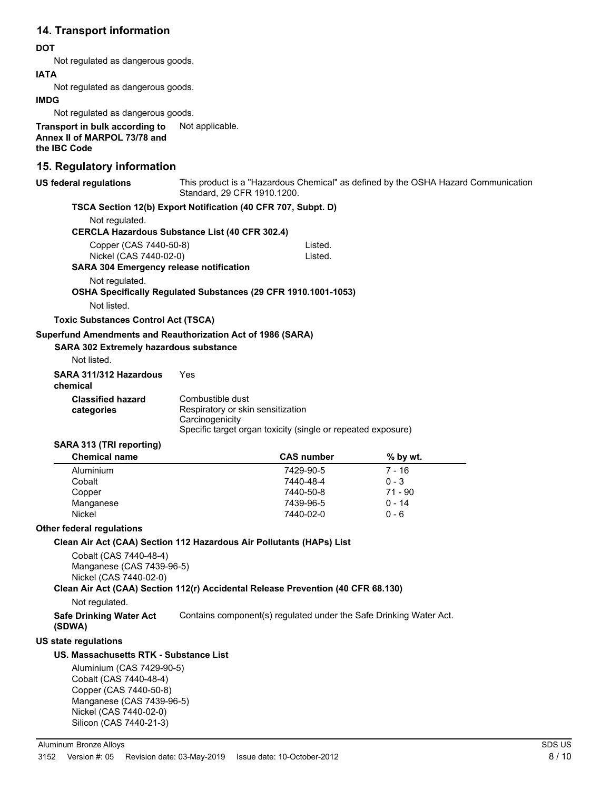# **14. Transport information**

#### **DOT**

Not regulated as dangerous goods.

#### **IATA**

Not regulated as dangerous goods.

#### **IMDG**

Not regulated as dangerous goods.

**Transport in bulk according to** Not applicable. **Annex II of MARPOL 73/78 and the IBC Code**

### **15. Regulatory information**

| <b>US federal regulations</b>                                                                                                                                   | This product is a "Hazardous Chemical" as defined by the OSHA Hazard Communication<br>Standard, 29 CFR 1910.1200. |                   |           |
|-----------------------------------------------------------------------------------------------------------------------------------------------------------------|-------------------------------------------------------------------------------------------------------------------|-------------------|-----------|
| TSCA Section 12(b) Export Notification (40 CFR 707, Subpt. D)                                                                                                   |                                                                                                                   |                   |           |
| Not regulated.                                                                                                                                                  |                                                                                                                   |                   |           |
| <b>CERCLA Hazardous Substance List (40 CFR 302.4)</b>                                                                                                           |                                                                                                                   |                   |           |
| Copper (CAS 7440-50-8)                                                                                                                                          |                                                                                                                   | Listed.           |           |
| Nickel (CAS 7440-02-0)                                                                                                                                          |                                                                                                                   | Listed.           |           |
| SARA 304 Emergency release notification                                                                                                                         |                                                                                                                   |                   |           |
| Not regulated.                                                                                                                                                  |                                                                                                                   |                   |           |
| OSHA Specifically Regulated Substances (29 CFR 1910.1001-1053)                                                                                                  |                                                                                                                   |                   |           |
| Not listed.                                                                                                                                                     |                                                                                                                   |                   |           |
| <b>Toxic Substances Control Act (TSCA)</b>                                                                                                                      |                                                                                                                   |                   |           |
| Superfund Amendments and Reauthorization Act of 1986 (SARA)                                                                                                     |                                                                                                                   |                   |           |
| SARA 302 Extremely hazardous substance                                                                                                                          |                                                                                                                   |                   |           |
| Not listed.                                                                                                                                                     |                                                                                                                   |                   |           |
| SARA 311/312 Hazardous<br>chemical                                                                                                                              | Yes                                                                                                               |                   |           |
| <b>Classified hazard</b>                                                                                                                                        | Combustible dust                                                                                                  |                   |           |
| categories                                                                                                                                                      | Respiratory or skin sensitization                                                                                 |                   |           |
|                                                                                                                                                                 | Carcinogenicity                                                                                                   |                   |           |
|                                                                                                                                                                 | Specific target organ toxicity (single or repeated exposure)                                                      |                   |           |
| SARA 313 (TRI reporting)                                                                                                                                        |                                                                                                                   |                   |           |
| <b>Chemical name</b>                                                                                                                                            |                                                                                                                   | <b>CAS number</b> | % by wt.  |
| Aluminium                                                                                                                                                       |                                                                                                                   | 7429-90-5         | $7 - 16$  |
| Cobalt                                                                                                                                                          |                                                                                                                   | 7440-48-4         | $0 - 3$   |
| Copper                                                                                                                                                          |                                                                                                                   | 7440-50-8         | $71 - 90$ |
| Manganese<br>Nickel                                                                                                                                             |                                                                                                                   | 7439-96-5         | $0 - 14$  |
|                                                                                                                                                                 |                                                                                                                   | 7440-02-0         | $0 - 6$   |
| <b>Other federal regulations</b>                                                                                                                                |                                                                                                                   |                   |           |
| Clean Air Act (CAA) Section 112 Hazardous Air Pollutants (HAPs) List                                                                                            |                                                                                                                   |                   |           |
| Cobalt (CAS 7440-48-4)<br>Manganese (CAS 7439-96-5)<br>Nickel (CAS 7440-02-0)                                                                                   |                                                                                                                   |                   |           |
| Clean Air Act (CAA) Section 112(r) Accidental Release Prevention (40 CFR 68.130)                                                                                |                                                                                                                   |                   |           |
| Not regulated.                                                                                                                                                  |                                                                                                                   |                   |           |
| <b>Safe Drinking Water Act</b><br>(SDWA)                                                                                                                        | Contains component(s) regulated under the Safe Drinking Water Act.                                                |                   |           |
| <b>US state regulations</b>                                                                                                                                     |                                                                                                                   |                   |           |
| <b>US. Massachusetts RTK - Substance List</b>                                                                                                                   |                                                                                                                   |                   |           |
| Aluminium (CAS 7429-90-5)<br>Cobalt (CAS 7440-48-4)<br>Copper (CAS 7440-50-8)<br>Manganese (CAS 7439-96-5)<br>Nickel (CAS 7440-02-0)<br>Silicon (CAS 7440-21-3) |                                                                                                                   |                   |           |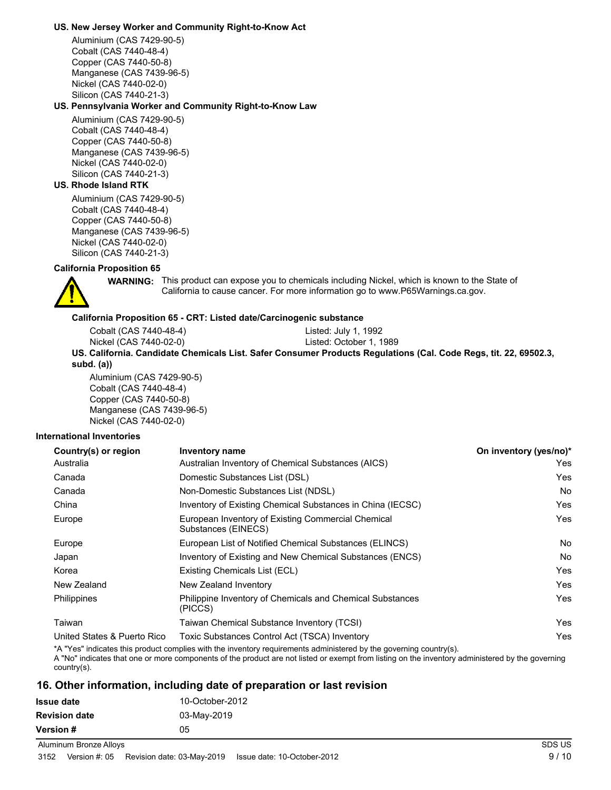#### **US. New Jersey Worker and Community Right-to-Know Act**

Aluminium (CAS 7429-90-5) Cobalt (CAS 7440-48-4) Copper (CAS 7440-50-8) Manganese (CAS 7439-96-5) Nickel (CAS 7440-02-0) Silicon (CAS 7440-21-3)

#### **US. Pennsylvania Worker and Community Right-to-Know Law**

Aluminium (CAS 7429-90-5) Cobalt (CAS 7440-48-4) Copper (CAS 7440-50-8) Manganese (CAS 7439-96-5) Nickel (CAS 7440-02-0) Silicon (CAS 7440-21-3)

#### **US. Rhode Island RTK**

Aluminium (CAS 7429-90-5) Cobalt (CAS 7440-48-4) Copper (CAS 7440-50-8) Manganese (CAS 7439-96-5) Nickel (CAS 7440-02-0) Silicon (CAS 7440-21-3)

#### **California Proposition 65**



**WARNING:** This product can expose you to chemicals including Nickel, which is known to the State of California to cause cancer. For more information go to www.P65Warnings.ca.gov.

#### **California Proposition 65 - CRT: Listed date/Carcinogenic substance**

Cobalt (CAS 7440-48-4) Listed: July 1, 1992 Nickel (CAS 7440-02-0) Listed: October 1, 1989 **US. California. Candidate Chemicals List. Safer Consumer Products Regulations (Cal. Code Regs, tit. 22, 69502.3, subd. (a))**

Aluminium (CAS 7429-90-5) Cobalt (CAS 7440-48-4) Copper (CAS 7440-50-8) Manganese (CAS 7439-96-5) Nickel (CAS 7440-02-0)

#### **International Inventories**

| Country(s) or region        | <b>Inventory name</b>                                                     | On inventory (yes/no)* |
|-----------------------------|---------------------------------------------------------------------------|------------------------|
| Australia                   | Australian Inventory of Chemical Substances (AICS)                        | Yes                    |
| Canada                      | Domestic Substances List (DSL)                                            | Yes                    |
| Canada                      | Non-Domestic Substances List (NDSL)                                       | No.                    |
| China                       | Inventory of Existing Chemical Substances in China (IECSC)                | Yes                    |
| Europe                      | European Inventory of Existing Commercial Chemical<br>Substances (EINECS) | Yes                    |
| Europe                      | European List of Notified Chemical Substances (ELINCS)                    | <b>No</b>              |
| Japan                       | Inventory of Existing and New Chemical Substances (ENCS)                  | No.                    |
| Korea                       | Existing Chemicals List (ECL)                                             | Yes                    |
| New Zealand                 | New Zealand Inventory                                                     | Yes                    |
| Philippines                 | Philippine Inventory of Chemicals and Chemical Substances<br>(PICCS)      | Yes                    |
| Taiwan                      | Taiwan Chemical Substance Inventory (TCSI)                                | Yes                    |
| United States & Puerto Rico | Toxic Substances Control Act (TSCA) Inventory                             | Yes                    |

\*A "Yes" indicates this product complies with the inventory requirements administered by the governing country(s).

A "No" indicates that one or more components of the product are not listed or exempt from listing on the inventory administered by the governing country(s).

### **16. Other information, including date of preparation or last revision**

| <b>Issue date</b>    | 10-October-2012 |
|----------------------|-----------------|
| <b>Revision date</b> | 03-May-2019     |
| <b>Version #</b>     | 05              |

Aluminum Bronze Alloys SDS US